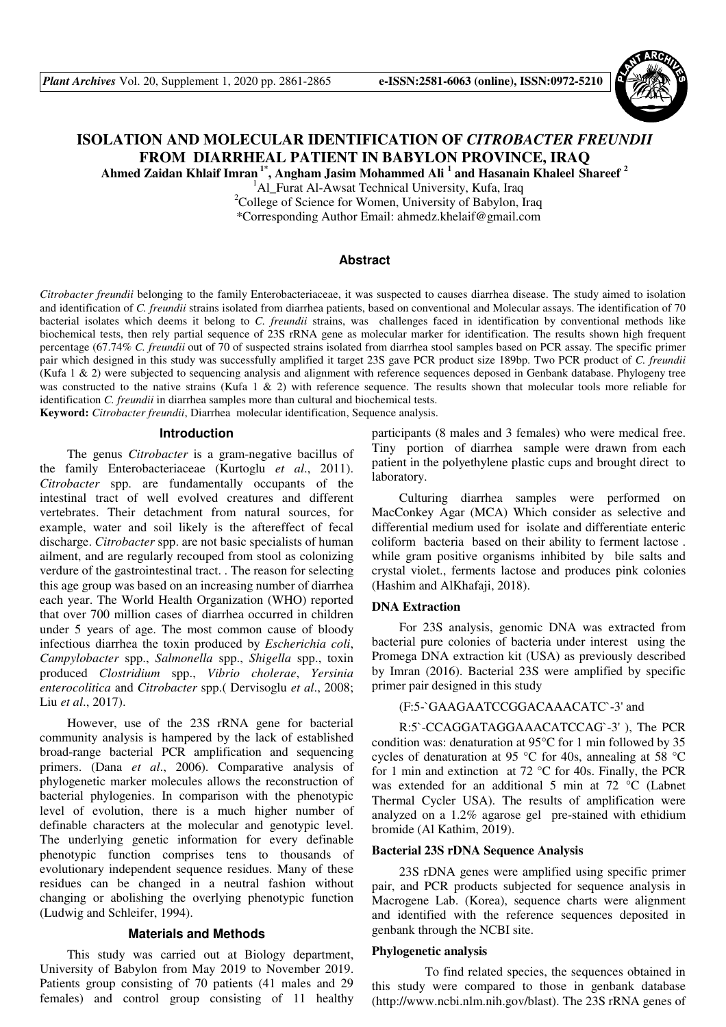

# **ISOLATION AND MOLECULAR IDENTIFICATION OF** *CITROBACTER FREUNDII* **FROM DIARRHEAL PATIENT IN BABYLON PROVINCE, IRAQ**

**Ahmed Zaidan Khlaif Imran 1\*, Angham Jasim Mohammed Ali <sup>1</sup> and Hasanain Khaleel Shareef <sup>2</sup>**

<sup>1</sup>Al Furat Al-Awsat Technical University, Kufa, Iraq <sup>2</sup>College of Science for Women, University of Babylon, Iraq

\*Corresponding Author Email: ahmedz.khelaif@gmail.com

## **Abstract**

*Citrobacter freundii* belonging to the family Enterobacteriaceae, it was suspected to causes diarrhea disease. The study aimed to isolation and identification of *C. freundii* strains isolated from diarrhea patients, based on conventional and Molecular assays. The identification of 70 bacterial isolates which deems it belong to *C. freundii* strains, was challenges faced in identification by conventional methods like biochemical tests, then rely partial sequence of 23S rRNA gene as molecular marker for identification. The results shown high frequent percentage (67.74% *C. freundii* out of 70 of suspected strains isolated from diarrhea stool samples based on PCR assay. The specific primer pair which designed in this study was successfully amplified it target 23S gave PCR product size 189bp. Two PCR product of *C. freundii* (Kufa 1 & 2) were subjected to sequencing analysis and alignment with reference sequences deposed in Genbank database. Phylogeny tree was constructed to the native strains (Kufa 1  $\&$  2) with reference sequence. The results shown that molecular tools more reliable for identification *C. freundii* in diarrhea samples more than cultural and biochemical tests.

**Keyword:** *Citrobacter freundii*, Diarrhea molecular identification, Sequence analysis.

#### **Introduction**

The genus *Citrobacter* is a gram-negative bacillus of the family Enterobacteriaceae (Kurtoglu *et al*., 2011). *Citrobacter* spp. are fundamentally occupants of the intestinal tract of well evolved creatures and different vertebrates. Their detachment from natural sources, for example, water and soil likely is the aftereffect of fecal discharge. *Citrobacter* spp. are not basic specialists of human ailment, and are regularly recouped from stool as colonizing verdure of the gastrointestinal tract. . The reason for selecting this age group was based on an increasing number of diarrhea each year. The World Health Organization (WHO) reported that over 700 million cases of diarrhea occurred in children under 5 years of age. The most common cause of bloody infectious diarrhea the toxin produced by *Escherichia coli*, *Campylobacter* spp., *Salmonella* spp., *Shigella* spp., toxin produced *Clostridium* spp., *Vibrio cholerae*, *Yersinia enterocolitica* and *Citrobacter* spp.( Dervisoglu *et al*., 2008; Liu *et al*., 2017).

However, use of the 23S rRNA gene for bacterial community analysis is hampered by the lack of established broad-range bacterial PCR amplification and sequencing primers. (Dana *et al*., 2006). Comparative analysis of phylogenetic marker molecules allows the reconstruction of bacterial phylogenies. In comparison with the phenotypic level of evolution, there is a much higher number of definable characters at the molecular and genotypic level. The underlying genetic information for every definable phenotypic function comprises tens to thousands of evolutionary independent sequence residues. Many of these residues can be changed in a neutral fashion without changing or abolishing the overlying phenotypic function (Ludwig and Schleifer, 1994).

#### **Materials and Methods**

This study was carried out at Biology department, University of Babylon from May 2019 to November 2019. Patients group consisting of 70 patients (41 males and 29 females) and control group consisting of 11 healthy

participants (8 males and 3 females) who were medical free. Tiny portion of diarrhea sample were drawn from each patient in the polyethylene plastic cups and brought direct to laboratory.

Culturing diarrhea samples were performed on MacConkey Agar (MCA) Which consider as selective and differential medium used for isolate and differentiate enteric coliform bacteria based on their ability to ferment lactose . while gram positive organisms inhibited by bile salts and crystal violet., ferments lactose and produces pink colonies (Hashim and AlKhafaji, 2018).

# **DNA Extraction**

For 23S analysis, genomic DNA was extracted from bacterial pure colonies of bacteria under interest using the Promega DNA extraction kit (USA) as previously described by Imran (2016). Bacterial 23S were amplified by specific primer pair designed in this study

# (F:5-`GAAGAATCCGGACAAACATC`-3' and

R:5`-CCAGGATAGGAAACATCCAG`-3' ), The PCR condition was: denaturation at 95°C for 1 min followed by 35 cycles of denaturation at 95 °C for 40s, annealing at 58 °C for 1 min and extinction at 72 °C for 40s. Finally, the PCR was extended for an additional 5 min at 72 °C (Labnet Thermal Cycler USA). The results of amplification were analyzed on a 1.2% agarose gel pre-stained with ethidium bromide (Al Kathim, 2019).

#### **Bacterial 23S rDNA Sequence Analysis**

23S rDNA genes were amplified using specific primer pair, and PCR products subjected for sequence analysis in Macrogene Lab. (Korea), sequence charts were alignment and identified with the reference sequences deposited in genbank through the NCBI site.

#### **Phylogenetic analysis**

 To find related species, the sequences obtained in this study were compared to those in genbank database (http://www.ncbi.nlm.nih.gov/blast). The 23S rRNA genes of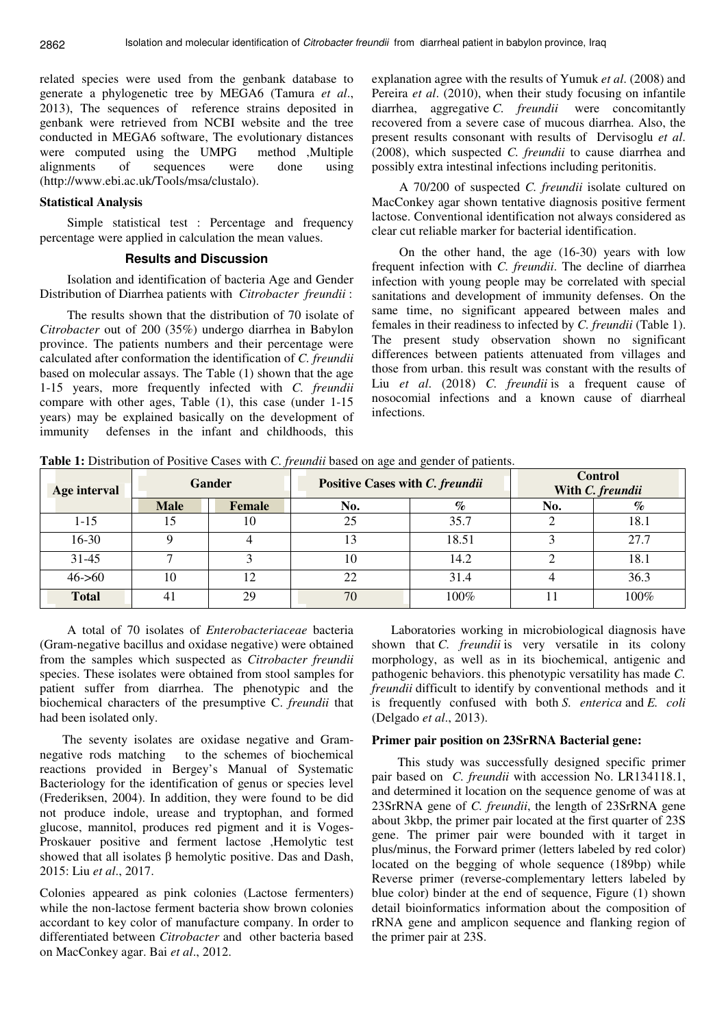related species were used from the genbank database to generate a phylogenetic tree by MEGA6 (Tamura *et al*., 2013), The sequences of reference strains deposited in genbank were retrieved from NCBI website and the tree conducted in MEGA6 software, The evolutionary distances were computed using the UMPG method ,Multiple alignments of sequences were done using (http://www.ebi.ac.uk/Tools/msa/clustalo).

#### **Statistical Analysis**

Simple statistical test : Percentage and frequency percentage were applied in calculation the mean values.

### **Results and Discussion**

Isolation and identification of bacteria Age and Gender Distribution of Diarrhea patients with *Citrobacter freundii* :

The results shown that the distribution of 70 isolate of *Citrobacter* out of 200 (35%) undergo diarrhea in Babylon province. The patients numbers and their percentage were calculated after conformation the identification of *C. freundii* based on molecular assays. The Table (1) shown that the age 1-15 years, more frequently infected with *C. freundii*  compare with other ages, Table (1), this case (under 1-15 years) may be explained basically on the development of immunity defenses in the infant and childhoods, this

explanation agree with the results of Yumuk *et al*. (2008) and Pereira *et al*. (2010), when their study focusing on infantile diarrhea, aggregative *C. freundii* were concomitantly recovered from a severe case of mucous diarrhea. Also, the present results consonant with results of Dervisoglu *et al*. (2008), which suspected *C. freundii* to cause diarrhea and possibly extra intestinal infections including peritonitis.

A 70/200 of suspected *C. freundii* isolate cultured on MacConkey agar shown tentative diagnosis positive ferment lactose. Conventional identification not always considered as clear cut reliable marker for bacterial identification.

On the other hand, the age (16-30) years with low frequent infection with *C. freundii*. The decline of diarrhea infection with young people may be correlated with special sanitations and development of immunity defenses. On the same time, no significant appeared between males and females in their readiness to infected by *C. freundii* (Table 1). The present study observation shown no significant differences between patients attenuated from villages and those from urban. this result was constant with the results of Liu *et al*. (2018) *C. freundii* is a frequent cause of nosocomial infections and a known cause of diarrheal infections.

**Table 1:** Distribution of Positive Cases with *C. freundii* based on age and gender of patients.

| Age interval | <b>Gander</b> |        | Positive Cases with C. freundii |                             | <b>Control</b><br>With C. freundii |      |  |
|--------------|---------------|--------|---------------------------------|-----------------------------|------------------------------------|------|--|
|              | <b>Male</b>   | Female | No.                             | $\mathcal{O}_{\mathcal{O}}$ | No.                                | $\%$ |  |
| $1 - 15$     |               | 10     | 25                              | 35.7                        |                                    | 18.1 |  |
| $16-30$      |               |        | l3                              | 18.51                       |                                    | 27.7 |  |
| $31 - 45$    |               |        | 10                              | 14.2                        |                                    | 18.1 |  |
| $46 - 60$    | 10            | 12     | 22                              | 31.4                        |                                    | 36.3 |  |
| <b>Total</b> | 41            | 29     | 70                              | $100\%$                     |                                    | 100% |  |

A total of 70 isolates of *Enterobacteriaceae* bacteria (Gram-negative bacillus and oxidase negative) were obtained from the samples which suspected as *Citrobacter freundii* species. These isolates were obtained from stool samples for patient suffer from diarrhea. The phenotypic and the biochemical characters of the presumptive C. *freundii* that had been isolated only.

 The seventy isolates are oxidase negative and Gramnegative rods matching to the schemes of biochemical reactions provided in Bergey's Manual of Systematic Bacteriology for the identification of genus or species level (Frederiksen, 2004). In addition, they were found to be did not produce indole, urease and tryptophan, and formed glucose, mannitol, produces red pigment and it is Voges-Proskauer positive and ferment lactose ,Hemolytic test showed that all isolates β hemolytic positive. Das and Dash, 2015: Liu *et al*., 2017.

Colonies appeared as pink colonies (Lactose fermenters) while the non-lactose ferment bacteria show brown colonies accordant to key color of manufacture company. In order to differentiated between *Citrobacter* and other bacteria based on MacConkey agar. Bai *et al*., 2012.

 Laboratories working in microbiological diagnosis have shown that *C. freundii* is very versatile in its colony morphology, as well as in its biochemical, antigenic and pathogenic behaviors. this phenotypic versatility has made *C. freundii* difficult to identify by conventional methods and it is frequently confused with both *S. enterica* and *E. coli* (Delgado *et al*., 2013).

## **Primer pair position on 23SrRNA Bacterial gene:**

 This study was successfully designed specific primer pair based on *C. freundii* with accession No. LR134118.1, and determined it location on the sequence genome of was at 23SrRNA gene of *C. freundii*, the length of 23SrRNA gene about 3kbp, the primer pair located at the first quarter of 23S gene. The primer pair were bounded with it target in plus/minus, the Forward primer (letters labeled by red color) located on the begging of whole sequence (189bp) while Reverse primer (reverse-complementary letters labeled by blue color) binder at the end of sequence, Figure (1) shown detail bioinformatics information about the composition of rRNA gene and amplicon sequence and flanking region of the primer pair at 23S.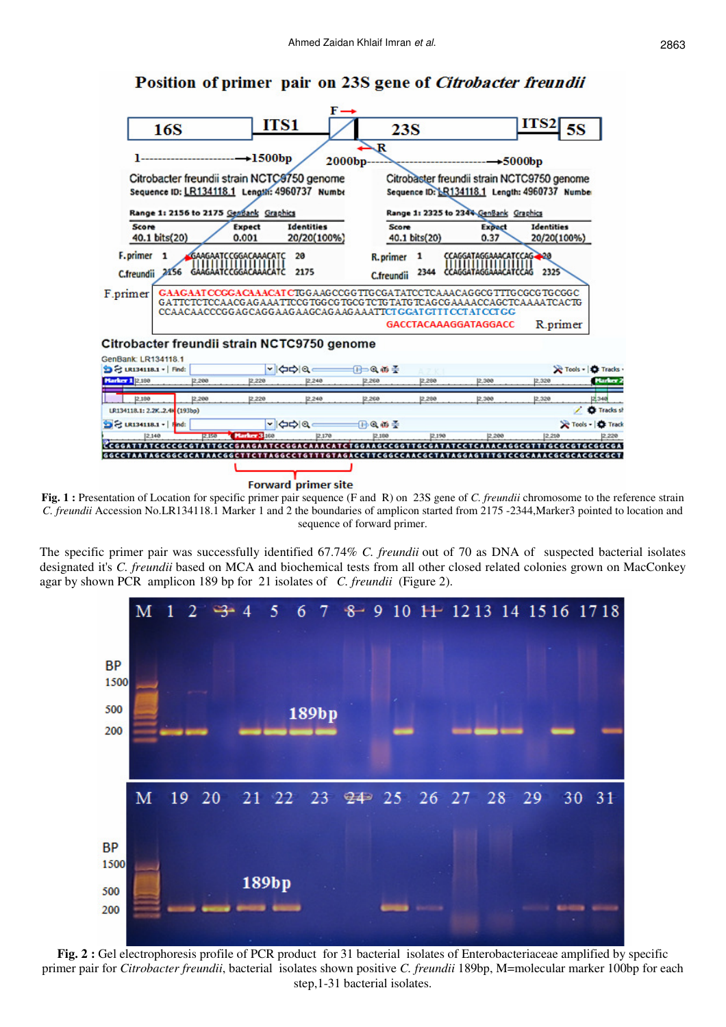# Position of primer pair on 23S gene of Citrobacter freundii



**Fig. 1 :** Presentation of Location for specific primer pair sequence (F and R) on 23S gene of *C. freundii* chromosome to the reference strain *C. freundii* Accession No.LR134118.1 Marker 1 and 2 the boundaries of amplicon started from 2175 -2344,Marker3 pointed to location and sequence of forward primer.

The specific primer pair was successfully identified 67.74% *C. freundii* out of 70 as DNA of suspected bacterial isolates designated it's *C. freundii* based on MCA and biochemical tests from all other closed related colonies grown on MacConkey agar by shown PCR amplicon 189 bp for 21 isolates of *C. freundii* (Figure 2).



**Fig. 2 :** Gel electrophoresis profile of PCR product for 31 bacterial isolates of Enterobacteriaceae amplified by specific primer pair for *Citrobacter freundii*, bacterial isolates shown positive *C. freundii* 189bp, M=molecular marker 100bp for each step,1-31 bacterial isolates.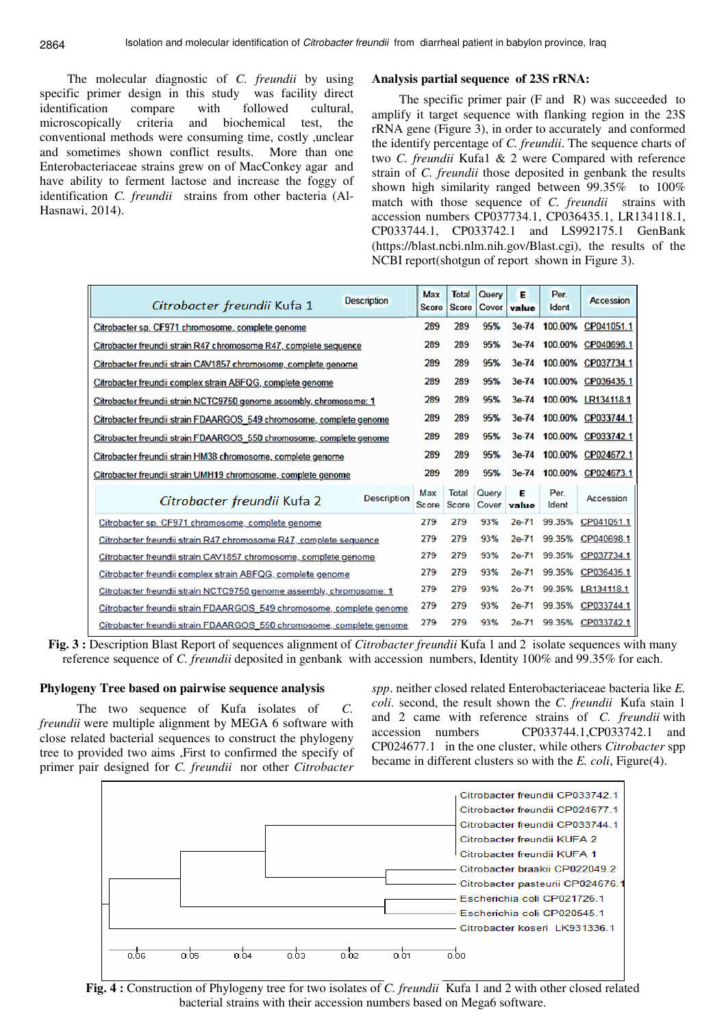The molecular diagnostic of *C. freundii* by using specific primer design in this study was facility direct identification compare with followed cultural, microscopically criteria and biochemical test, the conventional methods were consuming time, costly ,unclear and sometimes shown conflict results. More than one Enterobacteriaceae strains grew on of MacConkey agar and have ability to ferment lactose and increase the foggy of identification *C. freundii* strains from other bacteria (Al-Hasnawi, 2014).

## **Analysis partial sequence of 23S rRNA:**

The specific primer pair (F and R) was succeeded to amplify it target sequence with flanking region in the 23S rRNA gene (Figure 3), in order to accurately and conformed the identify percentage of *C. freundii*. The sequence charts of two *C. freundii* Kufa1 & 2 were Compared with reference strain of *C. freundii* those deposited in genbank the results shown high similarity ranged between 99.35% to 100% match with those sequence of *C. freundii* strains with accession numbers CP037734.1, CP036435.1, LR134118.1, CP033744.1, CP033742.1 and LS992175.1 GenBank (https://blast.ncbi.nlm.nih.gov/Blast.cgi), the results of the NCBI report(shotgun of report shown in Figure 3).

| <b>Description</b><br>Citrobacter freundii Kufa 1                    | Max<br><b>Score</b> | <b>Total</b><br><b>Score</b> | Query<br>Cover | Е<br>value | Per.<br>Ident | Accession          |
|----------------------------------------------------------------------|---------------------|------------------------------|----------------|------------|---------------|--------------------|
| Citrobacter sp. CF971 chromosome, complete genome                    | 289                 | 289                          | 95%            | 3e-74      |               | 100.00% CP041051.1 |
| Citrobacter freundii strain R47 chromosome R47, complete sequence    | 289                 | 289                          | 95%            | 3e-74      | 100,00%       | CP040698.1         |
| Citrobacter freundii strain CAV1857 chromosome, complete genome      | 289                 | 289                          | 95%            | $3e-74$    | 100.00%       | CP037734.1         |
| Citrobacter freundii complex strain ABFQG, complete genome           | 289                 | 289                          | 95%            | $3e-74$    | 100,00%       | CP036435.1         |
| Citrobacter freundii strain NCTC9750 genome assembly, chromosome: 1  | 289                 | 289                          | 95%            | $3e-74$    | 100,00%       | LR134118.1         |
| Citrobacter freundii strain FDAARGOS 549 chromosome, complete genome | 289                 | 289                          | 95%            | $3e-74$    | 100.00%       | CP033744.1         |
| Citrobacter freundii strain FDAARGOS 550 chromosome, complete genome | 289                 | 289                          | 95%            | $3e-74$    | 100.00%       | CP033742.1         |
| Citrobacter freundii strain HM38 chromosome, complete genome         | 289                 | 289                          | 95%            | 3e-74      | 100.00%       | CP024672.1         |
| Citrobacter freundii strain UMH19 chromosome, complete genome        | 289                 | 289                          | 95%            | $3e-74$    | 100.00%       | CP024673.1         |
| <b>Description</b><br>Citrobacter freundii Kufa 2                    | Max<br>Score        | Total<br>Score               | Query<br>Cover | F<br>value | Per.<br>Ident | Accession          |
| Citrobacter sp. CF971 chromosome, complete genome                    | 279                 | 279                          | 93%            | $2e-71$    | 99.35%        | CP041051.1         |
| Citrobacter freundii strain R47 chromosome R47, complete sequence    | 279                 | 279                          | 93%            | $2e-71$    | 99.35%        | CP040698.1         |
| Citrobacter freundii strain CAV1857 chromosome, complete genome      | 279                 | 279                          | 93%            | $2e-71$    | 99.35%        | CP037734.1         |
| Citrobacter freundii complex strain ABFQG, complete genome           | 279                 | 279                          | 93%            | $2e-71$    | 99.35%        | CP036435.1         |
| Citrobacter freundii strain NCTC9750 genome assembly, chromosome: 1  | 279                 | 279                          | 93%            | $2e-71$    | 99.35%        | LR134118.1         |
| Citrobacter freundii strain FDAARGOS 549 chromosome, complete genome | 279                 | 279                          | 93%            | $2e-71$    | 99.35%        | CP033744.1         |
| Citrobacter freundii strain FDAARGOS 550 chromosome, complete genome | 279                 | 279                          | 93%            | $2e-71$    | 99.35%        | CP033742.1         |

Fig. 3 : Description Blast Report of sequences alignment of *Citrobacter freundii* Kufa 1 and 2 isolate sequences with many reference sequence of *C. freundii* deposited in genbank with accession numbers, Identity 100% and 99.35% for each.

# **Phylogeny Tree based on pairwise sequence analysis**

 The two sequence of Kufa isolates of *C. freundii* were multiple alignment by MEGA 6 software with close related bacterial sequences to construct the phylogeny tree to provided two aims ,First to confirmed the specify of primer pair designed for *C. freundii* nor other *Citrobacter* 

*spp*. neither closed related Enterobacteriaceae bacteria like *E. coli*. second, the result shown the *C. freundii* Kufa stain 1 and 2 came with reference strains of *C. freundii* with accession numbers CP033744.1,CP033742.1 and CP024677.1 in the one cluster, while others *Citrobacter* spp became in different clusters so with the *E. coli*, Figure(4).



**Fig. 4 :** Construction of Phylogeny tree for two isolates of *C. freundii* Kufa 1 and 2 with other closed related bacterial strains with their accession numbers based on Mega6 software.